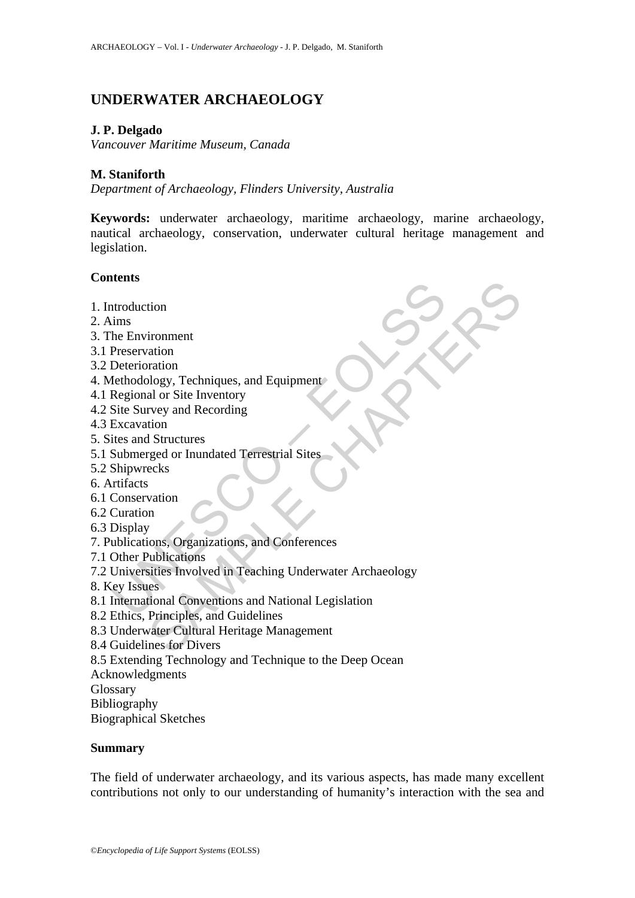# **UNDERWATER ARCHAEOLOGY**

### **J. P. Delgado**

*Vancouver Maritime Museum, Canada* 

### **M. Staniforth**

*Department of Archaeology, Flinders University, Australia* 

**Keywords:** underwater archaeology, maritime archaeology, marine archaeology, nautical archaeology, conservation, underwater cultural heritage management and legislation.

### **Contents**

- 1. Introduction
- 2. Aims
- 3. The Environment
- 3.1 Preservation
- 3.2 Deterioration
- 4. Methodology, Techniques, and Equipment
- 4.1 Regional or Site Inventory
- 4.2 Site Survey and Recording
- 4.3 Excavation
- 5. Sites and Structures
- 5.1 Submerged or Inundated Terrestrial Sites
- 5.2 Shipwrecks
- 6. Artifacts
- 6.1 Conservation
- 6.2 Curation
- 6.3 Display
- 7. Publications, Organizations, and Conferences
- 7.1 Other Publications
- ntroduction<br>
ims<br>
he Environment<br>
Perservation<br>
Deterioration<br>
Deterioration<br>
Regional or Site Inventory<br>
Regional or Site Inventory<br>
Regional or Site Inventory<br>
Site Survey and Recording<br>
Excavation<br>
Site Survey and Recor tion<br>
ironment<br>
adion<br>
al or Stie Inventory<br>
al or Stie Inventory<br>
are all or Stie Inventory<br>
revey and Recording<br>
ecks<br>
ecks<br>
steps<br>
ecks<br>
is the control of Terrestrial Sites<br>
is and Conferences<br>
is unions, Organizations, 7.2 Universities Involved in Teaching Underwater Archaeology
- 8. Key Issues
- 8.1 International Conventions and National Legislation
- 8.2 Ethics, Principles, and Guidelines
- 8.3 Underwater Cultural Heritage Management
- 8.4 Guidelines for Divers
- 8.5 Extending Technology and Technique to the Deep Ocean
- Acknowledgments
- Glossary
- Bibliography

Biographical Sketches

#### **Summary**

The field of underwater archaeology, and its various aspects, has made many excellent contributions not only to our understanding of humanity's interaction with the sea and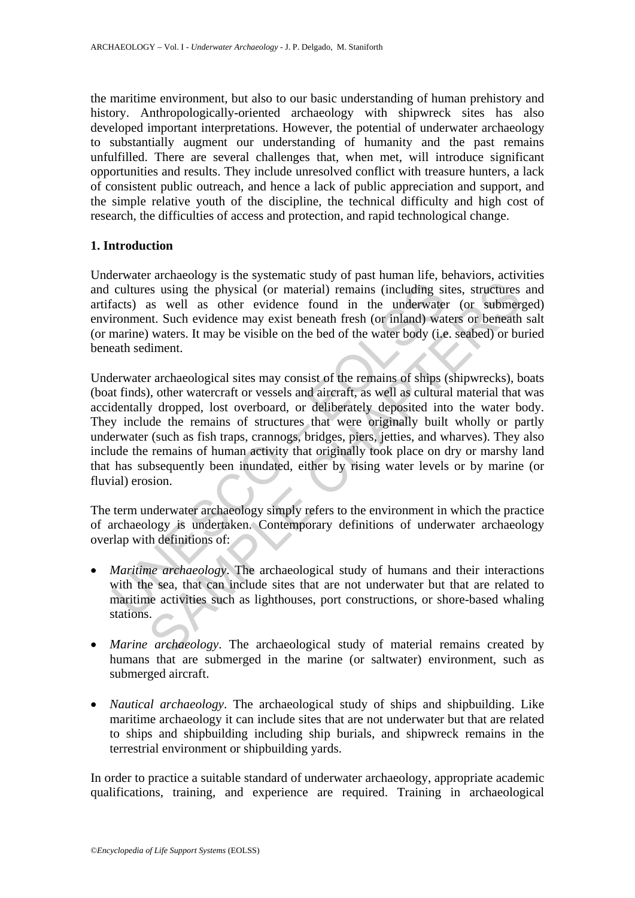the maritime environment, but also to our basic understanding of human prehistory and history. Anthropologically-oriented archaeology with shipwreck sites has also developed important interpretations. However, the potential of underwater archaeology to substantially augment our understanding of humanity and the past remains unfulfilled. There are several challenges that, when met, will introduce significant opportunities and results. They include unresolved conflict with treasure hunters, a lack of consistent public outreach, and hence a lack of public appreciation and support, and the simple relative youth of the discipline, the technical difficulty and high cost of research, the difficulties of access and protection, and rapid technological change.

#### **1. Introduction**

Underwater archaeology is the systematic study of past human life, behaviors, activities and cultures using the physical (or material) remains (including sites, structures and artifacts) as well as other evidence found in the underwater (or submerged) environment. Such evidence may exist beneath fresh (or inland) waters or beneath salt (or marine) waters. It may be visible on the bed of the water body (i.e. seabed) or buried beneath sediment.

cultures using the physical (or material) remains (including si<br>acts) as well as other evidence found in the underwater<br>ironment. Such evidence may exist beneath fresh (or inland) wat<br>marine) waters. It may be visible on t is using the physical (or material) emains (including sites, structures as well as other evidence found in the underwater (or submer, than Such evidence may exist beneath fresh (or inland) waters or beneath such as well as Underwater archaeological sites may consist of the remains of ships (shipwrecks), boats (boat finds), other watercraft or vessels and aircraft, as well as cultural material that was accidentally dropped, lost overboard, or deliberately deposited into the water body. They include the remains of structures that were originally built wholly or partly underwater (such as fish traps, crannogs, bridges, piers, jetties, and wharves). They also include the remains of human activity that originally took place on dry or marshy land that has subsequently been inundated, either by rising water levels or by marine (or fluvial) erosion.

The term underwater archaeology simply refers to the environment in which the practice of archaeology is undertaken. Contemporary definitions of underwater archaeology overlap with definitions of:

- *Maritime archaeology*. The archaeological study of humans and their interactions with the sea, that can include sites that are not underwater but that are related to maritime activities such as lighthouses, port constructions, or shore-based whaling stations.
- *Marine archaeology*. The archaeological study of material remains created by humans that are submerged in the marine (or saltwater) environment, such as submerged aircraft.
- *Nautical archaeology*. The archaeological study of ships and shipbuilding. Like maritime archaeology it can include sites that are not underwater but that are related to ships and shipbuilding including ship burials, and shipwreck remains in the terrestrial environment or shipbuilding yards.

In order to practice a suitable standard of underwater archaeology, appropriate academic qualifications, training, and experience are required. Training in archaeological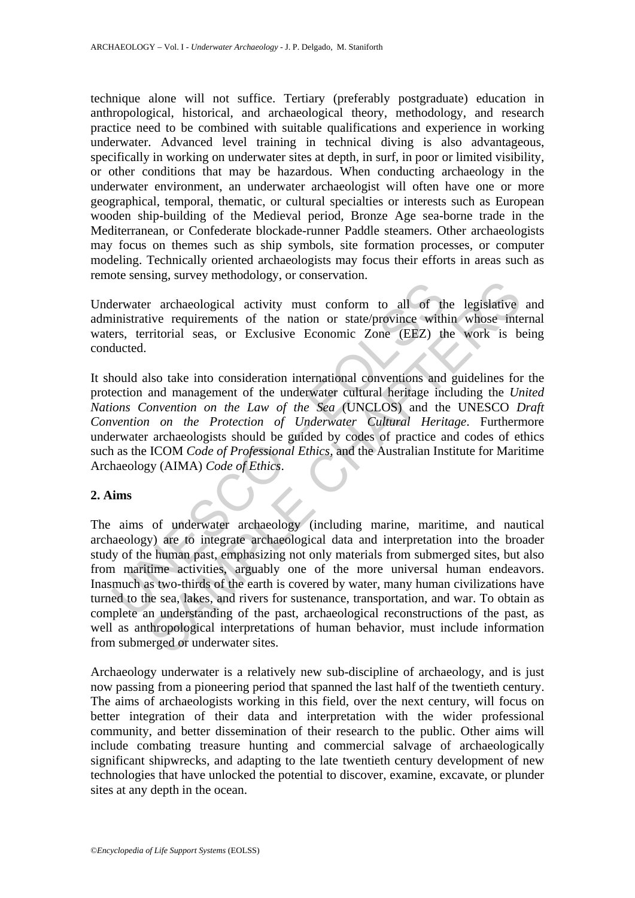technique alone will not suffice. Tertiary (preferably postgraduate) education in anthropological, historical, and archaeological theory, methodology, and research practice need to be combined with suitable qualifications and experience in working underwater. Advanced level training in technical diving is also advantageous, specifically in working on underwater sites at depth, in surf, in poor or limited visibility, or other conditions that may be hazardous. When conducting archaeology in the underwater environment, an underwater archaeologist will often have one or more geographical, temporal, thematic, or cultural specialties or interests such as European wooden ship-building of the Medieval period, Bronze Age sea-borne trade in the Mediterranean, or Confederate blockade-runner Paddle steamers. Other archaeologists may focus on themes such as ship symbols, site formation processes, or computer modeling. Technically oriented archaeologists may focus their efforts in areas such as remote sensing, survey methodology, or conservation.

Underwater archaeological activity must conform to all of the legislative and administrative requirements of the nation or state/province within whose internal waters, territorial seas, or Exclusive Economic Zone (EEZ) the work is being conducted.

ervater archaeological activity must conform to all of the<br>inistrative requirements of the nation or state/province with<br>theres, territorial seas, or Exclusive Economic Zone (EEZ) th<br>ducted.<br>nould also take into considerat It should also take into consideration international conventions and guidelines for the protection and management of the underwater cultural heritage including the *United Nations Convention on the Law of the Sea* (UNCLOS) and the UNESCO *Draft Convention on the Protection of Underwater Cultural Heritage*. Furthermore underwater archaeologists should be guided by codes of practice and codes of ethics such as the ICOM *Code of Professional Ethics,* and the Australian Institute for Maritime Archaeology (AIMA) *Code of Ethics*.

## **2. Aims**

In a recharactery means of the number of the legislative<br>requirements of the nation or state/province within whose interitorial seas, or Exclusive Economic Zone (EEZ) the work is b<br>slso take into consideration internation The aims of underwater archaeology (including marine, maritime, and nautical archaeology) are to integrate archaeological data and interpretation into the broader study of the human past, emphasizing not only materials from submerged sites, but also from maritime activities, arguably one of the more universal human endeavors. Inasmuch as two-thirds of the earth is covered by water, many human civilizations have turned to the sea, lakes, and rivers for sustenance, transportation, and war. To obtain as complete an understanding of the past, archaeological reconstructions of the past, as well as anthropological interpretations of human behavior, must include information from submerged or underwater sites.

Archaeology underwater is a relatively new sub-discipline of archaeology, and is just now passing from a pioneering period that spanned the last half of the twentieth century. The aims of archaeologists working in this field, over the next century, will focus on better integration of their data and interpretation with the wider professional community, and better dissemination of their research to the public. Other aims will include combating treasure hunting and commercial salvage of archaeologically significant shipwrecks, and adapting to the late twentieth century development of new technologies that have unlocked the potential to discover, examine, excavate, or plunder sites at any depth in the ocean.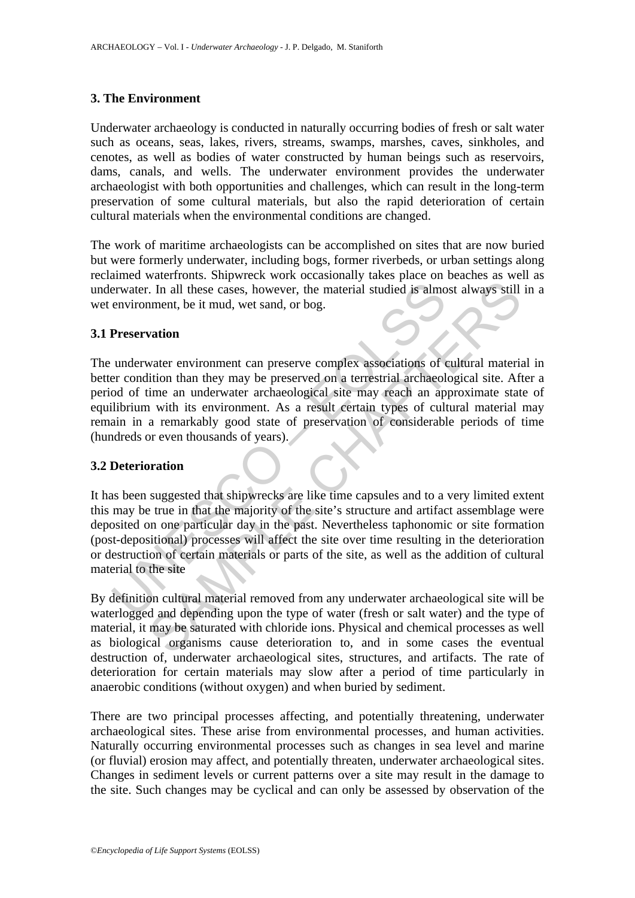### **3. The Environment**

Underwater archaeology is conducted in naturally occurring bodies of fresh or salt water such as oceans, seas, lakes, rivers, streams, swamps, marshes, caves, sinkholes, and cenotes, as well as bodies of water constructed by human beings such as reservoirs, dams, canals, and wells. The underwater environment provides the underwater archaeologist with both opportunities and challenges, which can result in the long-term preservation of some cultural materials, but also the rapid deterioration of certain cultural materials when the environmental conditions are changed.

The work of maritime archaeologists can be accomplished on sites that are now buried but were formerly underwater, including bogs, former riverbeds, or urban settings along reclaimed waterfronts. Shipwreck work occasionally takes place on beaches as well as underwater. In all these cases, however, the material studied is almost always still in a wet environment, be it mud, wet sand, or bog.

#### **3.1 Preservation**

Example 11 and these cases, however, the material studied is almo<br>
environment, be it mud, wet sand, or bog.<br> **Preservation**<br>
underwater environment can preserve complex associations of c<br>
er condition than they may be pre The state and the state of the state of the state of the state of the state of the state of the state of the state of the state of the state of the state of the state of the state of outer an underwater environment can pre The underwater environment can preserve complex associations of cultural material in better condition than they may be preserved on a terrestrial archaeological site. After a period of time an underwater archaeological site may reach an approximate state of equilibrium with its environment. As a result certain types of cultural material may remain in a remarkably good state of preservation of considerable periods of time (hundreds or even thousands of years).

#### **3.2 Deterioration**

It has been suggested that shipwrecks are like time capsules and to a very limited extent this may be true in that the majority of the site's structure and artifact assemblage were deposited on one particular day in the past. Nevertheless taphonomic or site formation (post-depositional) processes will affect the site over time resulting in the deterioration or destruction of certain materials or parts of the site, as well as the addition of cultural material to the site

By definition cultural material removed from any underwater archaeological site will be waterlogged and depending upon the type of water (fresh or salt water) and the type of material, it may be saturated with chloride ions. Physical and chemical processes as well as biological organisms cause deterioration to, and in some cases the eventual destruction of, underwater archaeological sites, structures, and artifacts. The rate of deterioration for certain materials may slow after a period of time particularly in anaerobic conditions (without oxygen) and when buried by sediment.

There are two principal processes affecting, and potentially threatening, underwater archaeological sites. These arise from environmental processes, and human activities. Naturally occurring environmental processes such as changes in sea level and marine (or fluvial) erosion may affect, and potentially threaten, underwater archaeological sites. Changes in sediment levels or current patterns over a site may result in the damage to the site. Such changes may be cyclical and can only be assessed by observation of the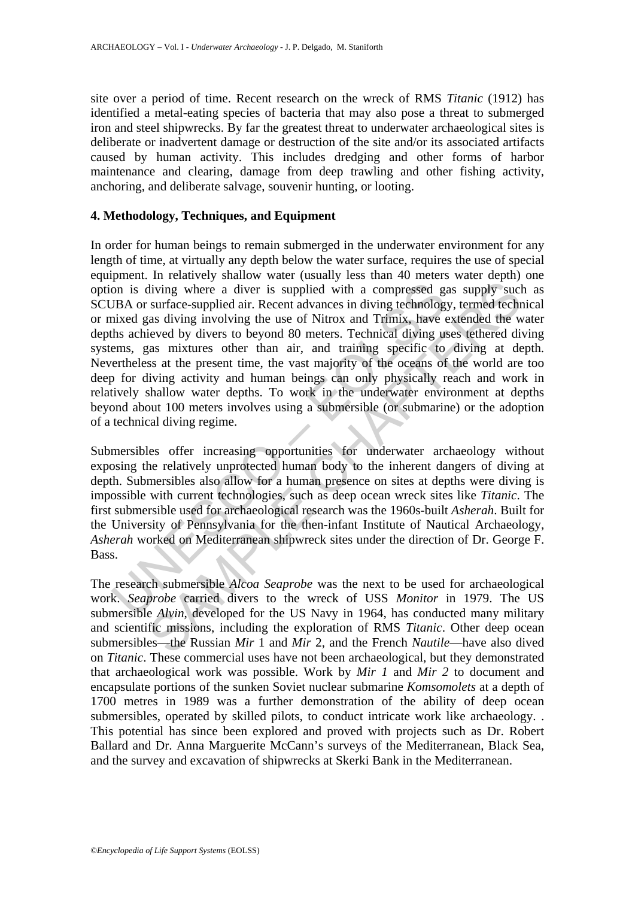site over a period of time. Recent research on the wreck of RMS *Titanic* (1912) has identified a metal-eating species of bacteria that may also pose a threat to submerged iron and steel shipwrecks. By far the greatest threat to underwater archaeological sites is deliberate or inadvertent damage or destruction of the site and/or its associated artifacts caused by human activity. This includes dredging and other forms of harbor maintenance and clearing, damage from deep trawling and other fishing activity, anchoring, and deliberate salvage, souvenir hunting, or looting.

#### **4. Methodology, Techniques, and Equipment**

on is diving where a diver is supplied with a compressed g.<br>
UBA or surface-supplied air. Recent advances in diving technology<br>
UBA or surface-supplied air. Recent advances in diving technology<br>
this achieved by divers to diving where a diver is supplied with a compressed gas supply such<br>surface-supplied air. Recent advances in diving technology, termed techn<br>sativing where a diver is supplied with a compressed gas supply such<br>sativing inv In order for human beings to remain submerged in the underwater environment for any length of time, at virtually any depth below the water surface, requires the use of special equipment. In relatively shallow water (usually less than 40 meters water depth) one option is diving where a diver is supplied with a compressed gas supply such as SCUBA or surface-supplied air. Recent advances in diving technology, termed technical or mixed gas diving involving the use of Nitrox and Trimix, have extended the water depths achieved by divers to beyond 80 meters. Technical diving uses tethered diving systems, gas mixtures other than air, and training specific to diving at depth. Nevertheless at the present time, the vast majority of the oceans of the world are too deep for diving activity and human beings can only physically reach and work in relatively shallow water depths. To work in the underwater environment at depths beyond about 100 meters involves using a submersible (or submarine) or the adoption of a technical diving regime.

Submersibles offer increasing opportunities for underwater archaeology without exposing the relatively unprotected human body to the inherent dangers of diving at depth. Submersibles also allow for a human presence on sites at depths were diving is impossible with current technologies, such as deep ocean wreck sites like *Titanic*. The first submersible used for archaeological research was the 1960s-built *Asherah*. Built for the University of Pennsylvania for the then-infant Institute of Nautical Archaeology, *Asherah* worked on Mediterranean shipwreck sites under the direction of Dr. George F. Bass.

The research submersible *Alcoa Seaprobe* was the next to be used for archaeological work. *Seaprobe* carried divers to the wreck of USS *Monitor* in 1979. The US submersible *Alvin*, developed for the US Navy in 1964, has conducted many military and scientific missions, including the exploration of RMS *Titanic*. Other deep ocean submersibles—the Russian *Mir* 1 and *Mir* 2, and the French *Nautile*—have also dived on *Titanic*. These commercial uses have not been archaeological, but they demonstrated that archaeological work was possible. Work by *Mir 1* and *Mir 2* to document and encapsulate portions of the sunken Soviet nuclear submarine *Komsomolets* at a depth of 1700 metres in 1989 was a further demonstration of the ability of deep ocean submersibles, operated by skilled pilots, to conduct intricate work like archaeology. . This potential has since been explored and proved with projects such as Dr. Robert Ballard and Dr. Anna Marguerite McCann's surveys of the Mediterranean, Black Sea, and the survey and excavation of shipwrecks at Skerki Bank in the Mediterranean.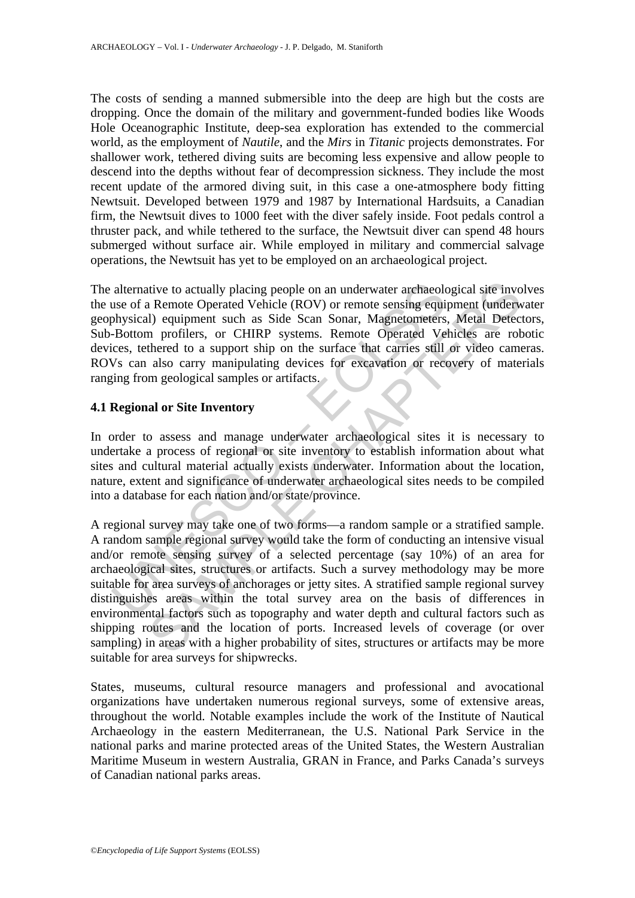The costs of sending a manned submersible into the deep are high but the costs are dropping. Once the domain of the military and government-funded bodies like Woods Hole Oceanographic Institute, deep-sea exploration has extended to the commercial world, as the employment of *Nautile*, and the *Mirs* in *Titanic* projects demonstrates. For shallower work, tethered diving suits are becoming less expensive and allow people to descend into the depths without fear of decompression sickness. They include the most recent update of the armored diving suit, in this case a one-atmosphere body fitting Newtsuit. Developed between 1979 and 1987 by International Hardsuits, a Canadian firm, the Newtsuit dives to 1000 feet with the diver safely inside. Foot pedals control a thruster pack, and while tethered to the surface, the Newtsuit diver can spend 48 hours submerged without surface air. While employed in military and commercial salvage operations, the Newtsuit has yet to be employed on an archaeological project.

alternative to actually placing people on an underwater arehaeolouse of a Remote Operated Vehicle (ROV) or remote sensing equiply<br>sical) equipment such as Side Scan Sonar, Magnetometers<br>-Bottom profilers, or CHIRP systems. The alternative to actually placing people on an underwater archaeological site involves the use of a Remote Operated Vehicle (ROV) or remote sensing equipment (underwater geophysical) equipment such as Side Scan Sonar, Magnetometers, Metal Detectors, Sub-Bottom profilers, or CHIRP systems. Remote Operated Vehicles are robotic devices, tethered to a support ship on the surface that carries still or video cameras. ROVs can also carry manipulating devices for excavation or recovery of materials ranging from geological samples or artifacts.

### **4.1 Regional or Site Inventory**

In order to assess and manage underwater archaeological sites it is necessary to undertake a process of regional or site inventory to establish information about what sites and cultural material actually exists underwater. Information about the location, nature, extent and significance of underwater archaeological sites needs to be compiled into a database for each nation and/or state/province.

tive to actually placing people on an underwater archaeological site invo<br>
Remote Operated Vehicle (ROV) or remote sensing equipment (underw<br>
1) equipment such as Side Scan Sonar, Magnetometers, Metal Detect<br>
In profilers, A regional survey may take one of two forms—a random sample or a stratified sample. A random sample regional survey would take the form of conducting an intensive visual and/or remote sensing survey of a selected percentage (say 10%) of an area for archaeological sites, structures or artifacts. Such a survey methodology may be more suitable for area surveys of anchorages or jetty sites. A stratified sample regional survey distinguishes areas within the total survey area on the basis of differences in environmental factors such as topography and water depth and cultural factors such as shipping routes and the location of ports. Increased levels of coverage (or over sampling) in areas with a higher probability of sites, structures or artifacts may be more suitable for area surveys for shipwrecks.

States, museums, cultural resource managers and professional and avocational organizations have undertaken numerous regional surveys, some of extensive areas, throughout the world. Notable examples include the work of the Institute of Nautical Archaeology in the eastern Mediterranean, the U.S. National Park Service in the national parks and marine protected areas of the United States, the Western Australian Maritime Museum in western Australia, GRAN in France, and Parks Canada's surveys of Canadian national parks areas.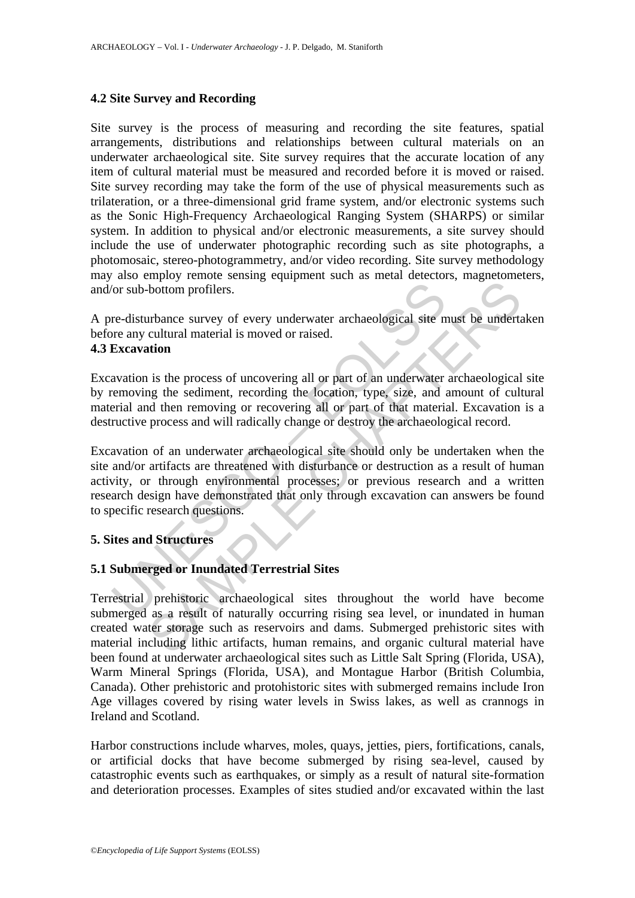#### **4.2 Site Survey and Recording**

Site survey is the process of measuring and recording the site features, spatial arrangements, distributions and relationships between cultural materials on an underwater archaeological site. Site survey requires that the accurate location of any item of cultural material must be measured and recorded before it is moved or raised. Site survey recording may take the form of the use of physical measurements such as trilateration, or a three-dimensional grid frame system, and/or electronic systems such as the Sonic High-Frequency Archaeological Ranging System (SHARPS) or similar system. In addition to physical and/or electronic measurements, a site survey should include the use of underwater photographic recording such as site photographs, a photomosaic, stereo-photogrammetry, and/or video recording. Site survey methodology may also employ remote sensing equipment such as metal detectors, magnetometers, and/or sub-bottom profilers.

A pre-disturbance survey of every underwater archaeological site must be undertaken before any cultural material is moved or raised.

## **4.3 Excavation**

Excavation is the process of uncovering all or part of an underwater archaeological site by removing the sediment, recording the location, type, size, and amount of cultural material and then removing or recovering all or part of that material. Excavation is a destructive process and will radically change or destroy the archaeological record.

(or sub-bottom profilers.<br>
The disturbance survey of every underwater archaeological site m<br>
The any cultural material is moved or raised.<br> **Excavation**<br>
avation is the process of uncovering all or part of an underwater<br>
r The bottom profilers.<br>
In the process of uncovering all or part of an underwater archaeological<br>
site must be undertained intervalsed or raised.<br>
In the process of uncovering all or part of an underwater archaeological<br>
an Excavation of an underwater archaeological site should only be undertaken when the site and/or artifacts are threatened with disturbance or destruction as a result of human activity, or through environmental processes; or previous research and a written research design have demonstrated that only through excavation can answers be found to specific research questions.

#### **5. Sites and Structures**

### **5.1 Submerged or Inundated Terrestrial Sites**

Terrestrial prehistoric archaeological sites throughout the world have become submerged as a result of naturally occurring rising sea level, or inundated in human created water storage such as reservoirs and dams. Submerged prehistoric sites with material including lithic artifacts, human remains, and organic cultural material have been found at underwater archaeological sites such as Little Salt Spring (Florida, USA), Warm Mineral Springs (Florida, USA), and Montague Harbor (British Columbia, Canada). Other prehistoric and protohistoric sites with submerged remains include Iron Age villages covered by rising water levels in Swiss lakes, as well as crannogs in Ireland and Scotland.

Harbor constructions include wharves, moles, quays, jetties, piers, fortifications, canals, or artificial docks that have become submerged by rising sea-level, caused by catastrophic events such as earthquakes, or simply as a result of natural site-formation and deterioration processes. Examples of sites studied and/or excavated within the last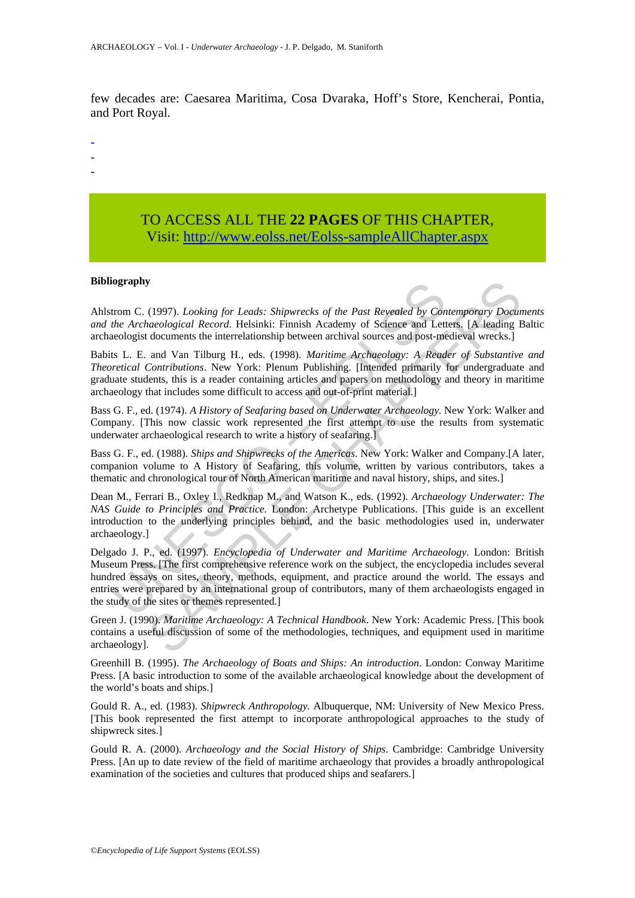few decades are: Caesarea Maritima, Cosa Dvaraka, Hoff's Store, Kencherai, Pontia, and Port Royal.

-

- -
- -

## TO ACCESS ALL THE **22 PAGES** OF THIS CHAPTER, Visi[t: http://www.eolss.net/Eolss-sampleAllChapter.aspx](https://www.eolss.net/ebooklib/sc_cart.aspx?File=E6-21-01-10)

#### **Bibliography**

Ahlstrom C. (1997). *Looking for Leads: Shipwrecks of the Past Revealed by Contemporary Documents and the Archaeological Record*. Helsinki: Finnish Academy of Science and Letters. [A leading Baltic archaeologist documents the interrelationship between archival sources and post-medieval wrecks.]

Babits L. E. and Van Tilburg H., eds. (1998). *Maritime Archaeology: A Reader of Substantive and Theoretical Contributions*. New York: Plenum Publishing. [Intended primarily for undergraduate and graduate students, this is a reader containing articles and papers on methodology and theory in maritime archaeology that includes some difficult to access and out-of-print material.]

Bass G. F., ed. (1974). *A History of Seafaring based on Underwater Archaeology*. New York: Walker and Company. [This now classic work represented the first attempt to use the results from systematic underwater archaeological research to write a history of seafaring.]

Bass G. F., ed. (1988). *Ships and Shipwrecks of the Americas*. New York: Walker and Company.[A later, companion volume to A History of Seafaring, this volume, written by various contributors, takes a thematic and chronological tour of North American maritime and naval history, ships, and sites.]

Dean M., Ferrari B., Oxley I., Redknap M., and Watson K., eds. (1992). *Archaeology Underwater: The NAS Guide to Principles and Practice.* London: Archetype Publications. [This guide is an excellent introduction to the underlying principles behind, and the basic methodologies used in, underwater archaeology.]

**tography**<br>
trom C. (1997). *Looking for Leads: Shipwrecks of the Past Revealed by Conthe Archaeological Record.* Helsinki: Finnish Academy of Science and Lett<br>
ecologist documents the interrelationship between archival so **y**<br>
(1997). Looking for Leads: Shipwrecks of the Past Reveated by Contemporary Docum<br>
acaological Record. Helsinki: Finnish Academy of Science and Letters. [A leading 1<br>
documents the interrelationship between archival s Delgado J. P., ed. (1997). *Encyclopedia of Underwater and Maritime Archaeology*. London: British Museum Press. [The first comprehensive reference work on the subject, the encyclopedia includes several hundred essays on sites, theory, methods, equipment, and practice around the world. The essays and entries were prepared by an international group of contributors, many of them archaeologists engaged in the study of the sites or themes represented.]

Green J. (1990). *Maritime Archaeology: A Technical Handbook*. New York: Academic Press. [This book contains a useful discussion of some of the methodologies, techniques, and equipment used in maritime archaeology].

Greenhill B. (1995). *The Archaeology of Boats and Ships: An introduction*. London: Conway Maritime Press. [A basic introduction to some of the available archaeological knowledge about the development of the world's boats and ships.]

Gould R. A., ed. (1983). *Shipwreck Anthropology*. Albuquerque, NM: University of New Mexico Press. [This book represented the first attempt to incorporate anthropological approaches to the study of shipwreck sites.]

Gould R. A. (2000). *Archaeology and the Social History of Ships*. Cambridge: Cambridge University Press. [An up to date review of the field of maritime archaeology that provides a broadly anthropological examination of the societies and cultures that produced ships and seafarers.]